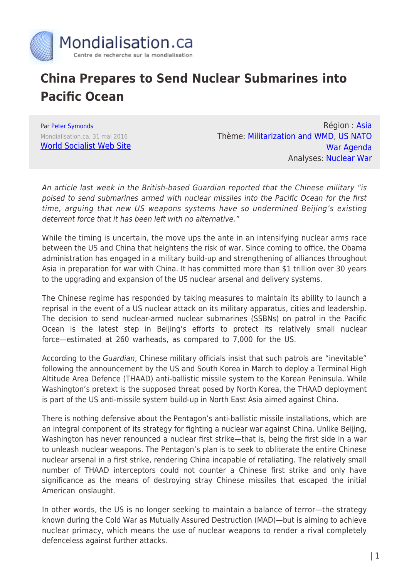

## **China Prepares to Send Nuclear Submarines into Pacific Ocean**

Par [Peter Symonds](https://www.mondialisation.ca/author/peter-symonds) Mondialisation.ca, 31 mai 2016 [World Socialist Web Site](http://www.wsws.org/en/articles/2016/05/31/chin-m31.html)

Région : [Asia](https://www.mondialisation.ca/region/asia) Thème: [Militarization and WMD,](https://www.mondialisation.ca/theme/militarization-and-wmd) [US NATO](https://www.mondialisation.ca/theme/us-nato-war-agenda) [War Agenda](https://www.mondialisation.ca/theme/us-nato-war-agenda) Analyses: [Nuclear War](https://www.mondialisation.ca/indepthreport/nuclear-war)

An article last week in the British-based Guardian reported that the Chinese military "is poised to send submarines armed with nuclear missiles into the Pacific Ocean for the first time, arguing that new US weapons systems have so undermined Beijing's existing deterrent force that it has been left with no alternative."

While the timing is uncertain, the move ups the ante in an intensifying nuclear arms race between the US and China that heightens the risk of war. Since coming to office, the Obama administration has engaged in a military build-up and strengthening of alliances throughout Asia in preparation for war with China. It has committed more than \$1 trillion over 30 years to the upgrading and expansion of the US nuclear arsenal and delivery systems.

The Chinese regime has responded by taking measures to maintain its ability to launch a reprisal in the event of a US nuclear attack on its military apparatus, cities and leadership. The decision to send nuclear-armed nuclear submarines (SSBNs) on patrol in the Pacific Ocean is the latest step in Beijing's efforts to protect its relatively small nuclear force—estimated at 260 warheads, as compared to 7,000 for the US.

According to the Guardian, Chinese military officials insist that such patrols are "inevitable" following the announcement by the US and South Korea in March to deploy a Terminal High Altitude Area Defence (THAAD) anti-ballistic missile system to the Korean Peninsula. While Washington's pretext is the supposed threat posed by North Korea, the THAAD deployment is part of the US anti-missile system build-up in North East Asia aimed against China.

There is nothing defensive about the Pentagon's anti-ballistic missile installations, which are an integral component of its strategy for fighting a nuclear war against China. Unlike Beijing, Washington has never renounced a nuclear first strike—that is, being the first side in a war to unleash nuclear weapons. The Pentagon's plan is to seek to obliterate the entire Chinese nuclear arsenal in a first strike, rendering China incapable of retaliating. The relatively small number of THAAD interceptors could not counter a Chinese first strike and only have significance as the means of destroying stray Chinese missiles that escaped the initial American onslaught.

In other words, the US is no longer seeking to maintain a balance of terror—the strategy known during the Cold War as Mutually Assured Destruction (MAD)—but is aiming to achieve nuclear primacy, which means the use of nuclear weapons to render a rival completely defenceless against further attacks.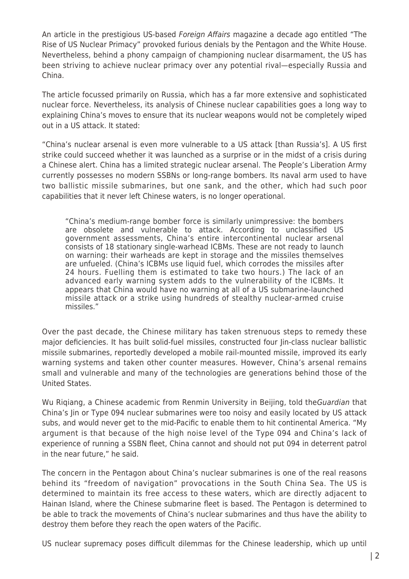An article in the prestigious US-based *Foreign Affairs* magazine a decade ago entitled "The Rise of US Nuclear Primacy" provoked furious denials by the Pentagon and the White House. Nevertheless, behind a phony campaign of championing nuclear disarmament, the US has been striving to achieve nuclear primacy over any potential rival—especially Russia and China.

The article focussed primarily on Russia, which has a far more extensive and sophisticated nuclear force. Nevertheless, its analysis of Chinese nuclear capabilities goes a long way to explaining China's moves to ensure that its nuclear weapons would not be completely wiped out in a US attack. It stated:

"China's nuclear arsenal is even more vulnerable to a US attack [than Russia's]. A US first strike could succeed whether it was launched as a surprise or in the midst of a crisis during a Chinese alert. China has a limited strategic nuclear arsenal. The People's Liberation Army currently possesses no modern SSBNs or long-range bombers. Its naval arm used to have two ballistic missile submarines, but one sank, and the other, which had such poor capabilities that it never left Chinese waters, is no longer operational.

"China's medium-range bomber force is similarly unimpressive: the bombers are obsolete and vulnerable to attack. According to unclassified US government assessments, China's entire intercontinental nuclear arsenal consists of 18 stationary single-warhead ICBMs. These are not ready to launch on warning: their warheads are kept in storage and the missiles themselves are unfueled. (China's ICBMs use liquid fuel, which corrodes the missiles after 24 hours. Fuelling them is estimated to take two hours.) The lack of an advanced early warning system adds to the vulnerability of the ICBMs. It appears that China would have no warning at all of a US submarine-launched missile attack or a strike using hundreds of stealthy nuclear-armed cruise missiles."

Over the past decade, the Chinese military has taken strenuous steps to remedy these major deficiencies. It has built solid-fuel missiles, constructed four Jin-class nuclear ballistic missile submarines, reportedly developed a mobile rail-mounted missile, improved its early warning systems and taken other counter measures. However, China's arsenal remains small and vulnerable and many of the technologies are generations behind those of the United States.

Wu Rigiang, a Chinese academic from Renmin University in Beijing, told the Guardian that China's Jin or Type 094 nuclear submarines were too noisy and easily located by US attack subs, and would never get to the mid-Pacific to enable them to hit continental America. "My argument is that because of the high noise level of the Type 094 and China's lack of experience of running a SSBN fleet, China cannot and should not put 094 in deterrent patrol in the near future," he said.

The concern in the Pentagon about China's nuclear submarines is one of the real reasons behind its "freedom of navigation" provocations in the South China Sea. The US is determined to maintain its free access to these waters, which are directly adjacent to Hainan Island, where the Chinese submarine fleet is based. The Pentagon is determined to be able to track the movements of China's nuclear submarines and thus have the ability to destroy them before they reach the open waters of the Pacific.

US nuclear supremacy poses difficult dilemmas for the Chinese leadership, which up until